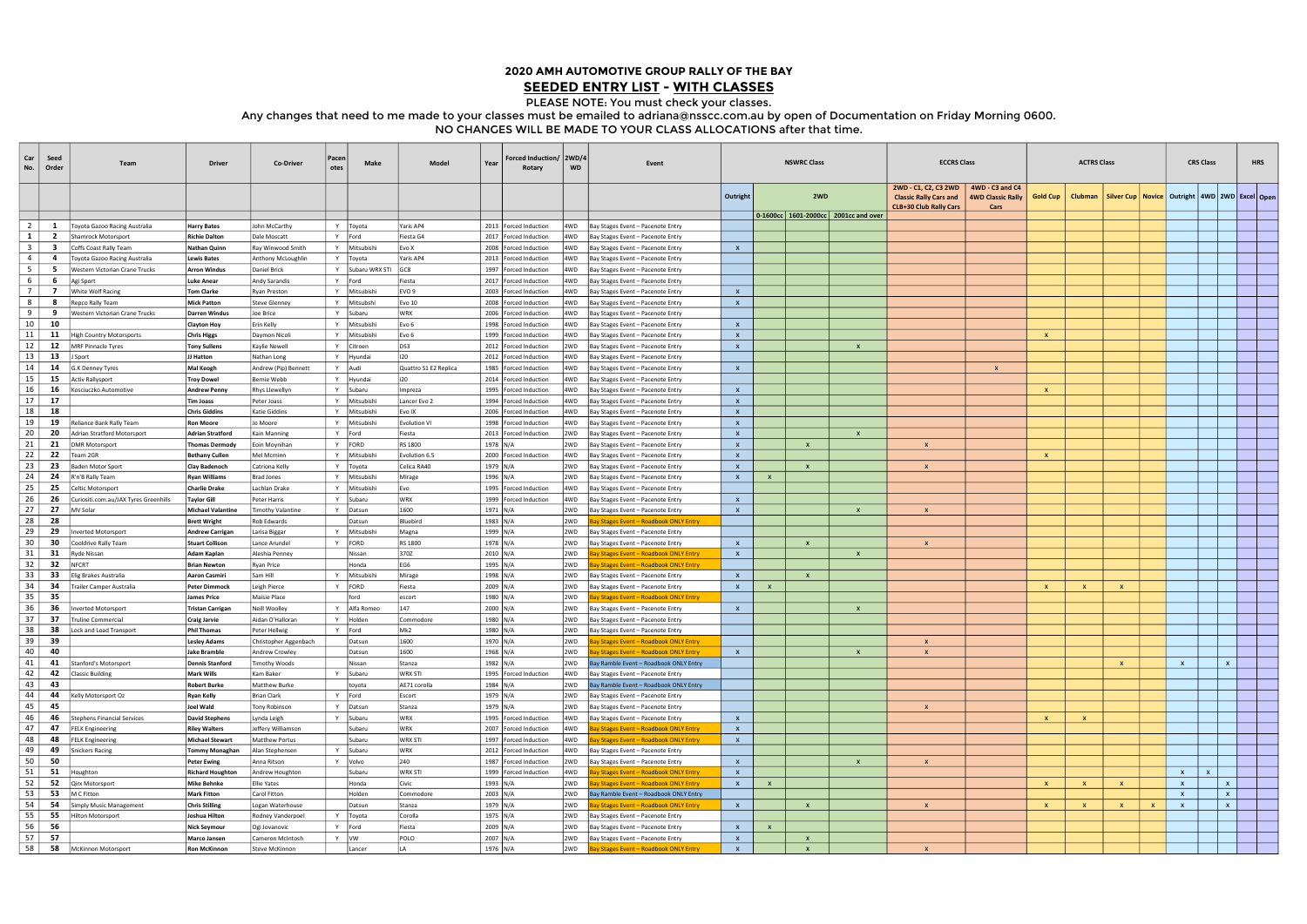| Car<br>No.     | Seed<br>Order                           | Team                                                 | <b>Driver</b>                                  | Co-Driver                                   | Pacen<br>otes | Make                    | Model                  | Year                 | Forced Induction/ 2WD/4<br>Rotary                  | <b>WD</b>  | Event                                                                                   | <b>NSWRC Class</b>           |              |              |                                          | <b>ECCRS Class</b>                                                                     | <b>ACTRS Class</b>                                      |              |                |                                                           | <b>CRS Class</b> |              |              | <b>HRS</b>   |  |  |
|----------------|-----------------------------------------|------------------------------------------------------|------------------------------------------------|---------------------------------------------|---------------|-------------------------|------------------------|----------------------|----------------------------------------------------|------------|-----------------------------------------------------------------------------------------|------------------------------|--------------|--------------|------------------------------------------|----------------------------------------------------------------------------------------|---------------------------------------------------------|--------------|----------------|-----------------------------------------------------------|------------------|--------------|--------------|--------------|--|--|
|                |                                         |                                                      |                                                |                                             |               |                         |                        |                      |                                                    |            |                                                                                         | Outright                     |              | 2WD          |                                          | 2WD - C1, C2, C3 2WD<br><b>Classic Rally Cars and</b><br><b>CLB+30 Club Rally Cars</b> | 4WD - C3 and C4<br>4WD Classic Rally   Gold Cup<br>Cars |              | <b>Clubman</b> | Silver Cup   Novice   Outright   4WD   2WD   Excel   Open |                  |              |              |              |  |  |
|                |                                         |                                                      |                                                |                                             |               |                         |                        |                      |                                                    |            |                                                                                         |                              |              |              | 0-1600cc   1601-2000cc   2001cc and over |                                                                                        |                                                         |              |                |                                                           |                  |              |              |              |  |  |
| 2<br>$1 \vert$ | $\mathbf{1}$<br>$\overline{\mathbf{2}}$ | Toyota Gazoo Racing Australia<br>Shamrock Motorsport | <b>Harry Bates</b><br><b>Richie Dalton</b>     | John McCarthy<br>Dale Moscatt               | Y             | Y   Toyota<br>Ford      | Yaris AP4<br>Fiesta G4 |                      | 2013   Forced Induction<br>2017   Forced Induction | 4WD<br>4WD | Bay Stages Event - Pacenote Entry                                                       |                              |              |              |                                          |                                                                                        |                                                         |              |                |                                                           |                  |              |              |              |  |  |
| 3 <sup>1</sup> | $\overline{\mathbf{3}}$                 | Coffs Coast Rally Team                               | Nathan Quinr                                   | Ray Winwood Smith                           | Y             | Mitsubishi              | Evo X                  |                      | 2008   Forced Induction                            | 4WD        | Bay Stages Event - Pacenote Entry<br>Bay Stages Event - Pacenote Entry                  | $\mathsf{X}$                 |              |              |                                          |                                                                                        |                                                         |              |                |                                                           |                  |              |              |              |  |  |
| 4              | -4                                      | Toyota Gazoo Racing Australia                        | <b>Lewis Bates</b>                             | Anthony McLoughlin                          | Y             | Toyota                  | Yaris AP4              |                      | 2013   Forced Induction                            | 4WD        | Bay Stages Event - Pacenote Entry                                                       |                              |              |              |                                          |                                                                                        |                                                         |              |                |                                                           |                  |              |              |              |  |  |
| 5              | 5                                       | Western Victorian Crane Trucks                       | <b>Arron Windus</b>                            | Daniel Brick                                | Y             | Subaru WRX STI          | GC8                    |                      | 1997   Forced Induction                            | 4WD        | Bay Stages Event - Pacenote Entry                                                       |                              |              |              |                                          |                                                                                        |                                                         |              |                |                                                           |                  |              |              |              |  |  |
| 6              | 6                                       | Agi Sport                                            | <b>Luke Anear</b>                              | Andy Sarandis                               | Y             | Ford                    | Fiesta                 |                      | 2017   Forced Induction                            | 4WD        | Bay Stages Event - Pacenote Entry                                                       |                              |              |              |                                          |                                                                                        |                                                         |              |                |                                                           |                  |              |              |              |  |  |
| 7              | $\overline{7}$                          | White Wolf Racing                                    | <b>Tom Clarke</b>                              | <b>Ryan Preston</b>                         | Y             | Mitsubishi              | EVO <sub>9</sub>       |                      | 2003   Forced Induction                            | 4WD        | Bay Stages Event - Pacenote Entry                                                       | $\mathsf{x}$                 |              |              |                                          |                                                                                        |                                                         |              |                |                                                           |                  |              |              |              |  |  |
| 8              | 8                                       | Repco Rally Team                                     | <b>Mick Patton</b>                             | <b>Steve Glenney</b>                        | Y             | Mitsubsh                | <b>Evo 10</b>          |                      | 2008   Forced Induction                            | 4WD.       | Bay Stages Event - Pacenote Entry                                                       | $\mathbf{x}$                 |              |              |                                          |                                                                                        |                                                         |              |                |                                                           |                  |              |              |              |  |  |
| 9              | - 9                                     | Western Victorian Crane Trucks                       | <b>Darren Windus</b>                           | Joe Brice                                   | Y             | Subaru                  | WRX                    |                      | 2006   Forced Induction                            | 4WD        | Bay Stages Event - Pacenote Entry                                                       |                              |              |              |                                          |                                                                                        |                                                         |              |                |                                                           |                  |              |              |              |  |  |
| 10             | 10                                      |                                                      | <b>Clayton Hoy</b>                             | Erin Kelly                                  | Y             | Mitsubishi              | Evo 6                  |                      | 1998   Forced Induction                            | 4WD        | Bay Stages Event - Pacenote Entry                                                       | $\mathsf{x}$                 |              |              |                                          |                                                                                        |                                                         |              |                |                                                           |                  |              |              |              |  |  |
| 11             | 11                                      | High Country Motorsports                             | <b>Chris Higgs</b>                             | Daymon Nicoli                               | <b>Y</b>      | Mitsubishi              | Evo 6                  |                      | 1999   Forced Induction                            | 4WD        | Bay Stages Event - Pacenote Entry                                                       | $\mathsf{x}$                 |              |              |                                          |                                                                                        |                                                         | $\mathbf{x}$ |                |                                                           |                  |              |              |              |  |  |
| $12 \mid$      | 12                                      | MRF Pinnacle Tyres                                   | <b>Tony Sullens</b>                            | Kaylie Newell                               | Y             | Citroen                 | DS3                    |                      | 2012   Forced Induction                            | 2WD        | Bay Stages Event - Pacenote Entry                                                       | $\mathsf{X}$                 |              |              | $\mathbf{x}$                             |                                                                                        |                                                         |              |                |                                                           |                  |              |              |              |  |  |
| 13             | 13                                      | J Sport                                              | JJ Hatton                                      | Nathan Long                                 | Y             | Hyundai                 | 120                    |                      | 2012   Forced Induction                            | 4WD        | Bay Stages Event - Pacenote Entry                                                       |                              |              |              |                                          |                                                                                        |                                                         |              |                |                                                           |                  |              |              |              |  |  |
| 14             | 14                                      | G.K Denney Tyres                                     | <b>Mal Keogh</b>                               | Andrew (Pip) Bennet                         | $\mathsf{v}$  | Audi                    | Quattro S1 E2 Replica  |                      | 1985   Forced Induction                            | 4WD        | Bay Stages Event - Pacenote Entry                                                       | $\mathbf{x}$                 |              |              |                                          |                                                                                        | $\boldsymbol{\mathsf{x}}$                               |              |                |                                                           |                  |              |              |              |  |  |
| 15             | 15                                      | <b>Activ Rallysport</b>                              | <b>Troy Dowel</b>                              | Bernie Webb                                 | Y             | Hyundai                 |                        |                      | 2014   Forced Induction                            | 4WD        | Bay Stages Event - Pacenote Entry                                                       |                              |              |              |                                          |                                                                                        |                                                         |              |                |                                                           |                  |              |              |              |  |  |
| 16<br>17       | - 16                                    | Kosciuczko Automotive                                | <b>Andrew Penny</b>                            | <b>Rhys Llewellyn</b>                       | Y             | Subaru                  | Impreza                |                      | 1995   Forced Induction                            | 4WD        | Bay Stages Event - Pacenote Entry                                                       | $\mathsf{X}$                 |              |              |                                          |                                                                                        |                                                         | $\mathbf{x}$ |                |                                                           |                  |              |              |              |  |  |
| 18             | 17<br>18                                |                                                      | Tim Joass<br><b>Chris Giddins</b>              | Peter Joass                                 | Y<br>Y        | Mitsubish               | Lancer Evo 2<br>Evo IX |                      | 1994   Forced Induction                            | 4WD        | Bay Stages Event - Pacenote Entry                                                       | $\mathbf{x}$                 |              |              |                                          |                                                                                        |                                                         |              |                |                                                           |                  |              |              |              |  |  |
| 19             | 19                                      | Reliance Bank Rally Team                             | <b>Ron Moore</b>                               | Katie Giddins<br>Jo Moore                   | Y             | Mitsubishi<br>Mitsubish | <b>Evolution VI</b>    |                      | 2006   Forced Induction<br>1998   Forced Induction | 4WD<br>4WD | Bay Stages Event - Pacenote Entry<br>Bay Stages Event - Pacenote Entry                  | $\mathsf{X}$<br>$\mathsf{X}$ |              |              |                                          |                                                                                        |                                                         |              |                |                                                           |                  |              |              |              |  |  |
| 20             | - 20                                    | <b>Adrian Stratford Motorsport</b>                   | <b>Adrian Stratford</b>                        | Kain Manning                                | Y             | Ford                    | Fiesta                 |                      | 2013   Forced Induction                            | 2WD        | Bay Stages Event - Pacenote Entry                                                       | $\mathbf{x}$                 |              |              | $\mathsf{x}$                             |                                                                                        |                                                         |              |                |                                                           |                  |              |              |              |  |  |
| 21             | 21                                      | <b>DMR Motorsport</b>                                | Thomas Dermody                                 | Eoin Moynihan                               | Y             | <b>FORD</b>             | RS 1800                | 1978 N/A             |                                                    | 2WD        | Bay Stages Event - Pacenote Entry                                                       | $\mathsf{X}$                 |              | $\mathbf{x}$ |                                          |                                                                                        |                                                         |              |                |                                                           |                  |              |              |              |  |  |
| 22             | 22                                      | Team 2GR                                             | <b>Bethany Culler</b>                          | Mel Mcminn                                  | Y             | Mitsubish               | Evolution 6.5          |                      | 2000   Forced Induction                            | 4WD        | Bay Stages Event - Pacenote Entry                                                       | $\mathsf{x}$                 |              |              |                                          |                                                                                        |                                                         | $\mathsf{x}$ |                |                                                           |                  |              |              |              |  |  |
| 23             | 23                                      | <b>Baden Motor Sport</b>                             | Clay Badenoch                                  | Catriona Kelly                              | Y             | Toyota                  | Celica RA40            | 1979 N/A             |                                                    | 2WD        | Bay Stages Event - Pacenote Entry                                                       | $\mathsf{x}$                 |              | $\mathbf{x}$ |                                          |                                                                                        |                                                         |              |                |                                                           |                  |              |              |              |  |  |
| 24             | 24                                      | R'n'B Rally Team                                     | <b>Ryan Williams</b>                           | Brad Jones                                  | Y             | Mitsubish               | Mirage                 | 1996 N/A             |                                                    | 2WD        | Bay Stages Event - Pacenote Entry                                                       | $\mathsf{X}$                 | $\mathbf{x}$ |              |                                          |                                                                                        |                                                         |              |                |                                                           |                  |              |              |              |  |  |
| 25             | 25                                      | Celtic Motorsport                                    | <b>Charlie Drake</b>                           | Lachlan Drake                               | Y             | Mitsubishi              | Evo                    |                      | 1995   Forced Induction                            | 4WD        | Bay Stages Event - Pacenote Entry                                                       |                              |              |              |                                          |                                                                                        |                                                         |              |                |                                                           |                  |              |              |              |  |  |
| 26             | - 26                                    | Curiositi.com.au/JAX Tyres Greenhills                | <b>Taylor Gill</b>                             | Peter Harris                                | $\mathsf{Y}$  | Subaru                  | <b>WRX</b>             |                      | 1999   Forced Induction                            | 4WD        | Bay Stages Event - Pacenote Entry                                                       | $\mathsf{x}$                 |              |              |                                          |                                                                                        |                                                         |              |                |                                                           |                  |              |              |              |  |  |
| 27             | 27                                      | MV Solar                                             | <b>Michael Valantine</b>                       | Timothy Valantine                           | Y             | Datsun                  | 1600                   | 1971 N/A             |                                                    | 2WD        | Bay Stages Event - Pacenote Entry                                                       | $\mathsf{x}$                 |              |              | $\boldsymbol{\mathsf{x}}$                |                                                                                        |                                                         |              |                |                                                           |                  |              |              |              |  |  |
| 28             | 28                                      |                                                      | <b>Brett Wright</b>                            | Rob Edwards                                 |               | Datsun                  | Bluebird               | 1983 N/A             |                                                    | 2WD        | <b>Bay Stages Event - Roadbook ONLY Entry</b>                                           |                              |              |              |                                          |                                                                                        |                                                         |              |                |                                                           |                  |              |              |              |  |  |
| 29             | 29                                      | Inverted Motorsport                                  | <b>Andrew Carrigan</b>                         | Larisa Biggar                               | Y             | Mitsubishi              | Magna                  | 1999 N/A             |                                                    | 2WD        | Bay Stages Event - Pacenote Entry                                                       |                              |              |              |                                          |                                                                                        |                                                         |              |                |                                                           |                  |              |              |              |  |  |
| 30             | 30                                      | Cooldrive Rally Team                                 | <b>Stuart Collison</b>                         | Lance Arundel                               | Y             | FORD                    | RS 1800                | 1978 N/A             |                                                    | 2WD        | Bay Stages Event - Pacenote Entry                                                       | $\mathsf{x}$                 |              | $\mathbf{x}$ |                                          |                                                                                        |                                                         |              |                |                                                           |                  |              |              |              |  |  |
| 31             | 31                                      | <b>Ryde Nissan</b>                                   | <b>Adam Kaplan</b>                             | Aleshia Penney                              |               | Nissan                  | 370Z                   | 2010 N/A             |                                                    | 2WD        | ay Stages Event - Roadbook ONLY Entry                                                   | $\mathsf{x}$                 |              |              | X                                        |                                                                                        |                                                         |              |                |                                                           |                  |              |              |              |  |  |
| 32             | 32                                      | <b>NFCRT</b>                                         | <b>Brian Newton</b>                            | Ryan Price                                  |               | Honda                   | EG <sub>6</sub>        | 1995 N/A             |                                                    | 2WD        | Bay Stages Event - Roadbook ONLY Entry                                                  |                              |              |              |                                          |                                                                                        |                                                         |              |                |                                                           |                  |              |              |              |  |  |
| 33<br>34       | - 33<br>- 34                            | Elig Brakes Australia                                | <b>Aaron Casmiri</b>                           | Sam Hill                                    | Y<br>Y        | Mitsubishi              | Mirage                 | 1998 N/A             |                                                    | 2WD        | Bay Stages Event - Pacenote Entry                                                       | $\mathsf{x}$                 |              | $\mathbf{x}$ |                                          |                                                                                        |                                                         |              |                |                                                           |                  |              |              |              |  |  |
| 35             | - 35                                    | Trailer Camper Australia                             | <b>Peter Dimmock</b><br><b>James Price</b>     | Leigh Pierce<br>Maisie Place                |               | FORD<br>ford            | Fiesta<br>escort       | 2009 N/A<br>1980 N/A |                                                    | 2WD<br>2WD | Bay Stages Event - Pacenote Entry<br>Bay Stages Event - Roadbook ONLY Entry             | $\mathsf{X}$                 | $\mathbf{x}$ |              |                                          |                                                                                        |                                                         | $\mathsf{X}$ | $\mathbf{x}$   | $\mathbf{x}$                                              |                  |              |              |              |  |  |
| 36             | - 36                                    | Inverted Motorsport                                  | <b>Tristan Carrigar</b>                        | Neill Woolley                               | Y             | Alfa Romeo              | 147                    | 2000 N/A             |                                                    | 2WD        | Bay Stages Event - Pacenote Entry                                                       | $\mathsf{x}$                 |              |              | $\mathsf{x}$                             |                                                                                        |                                                         |              |                |                                                           |                  |              |              |              |  |  |
| 37             | 37                                      | Truline Commercial                                   | <b>Craig Jarvie</b>                            | Aidan O'Halloran                            | Y             | Holden                  | Commodore              | 1980 N/A             |                                                    | 2WD        | Bay Stages Event - Pacenote Entry                                                       |                              |              |              |                                          |                                                                                        |                                                         |              |                |                                                           |                  |              |              |              |  |  |
| 38             | 38                                      | Lock and Load Transport                              | <b>Phil Thomas</b>                             | Peter Hellwig                               | <b>Y</b>      | Ford                    | Mk <sub>2</sub>        | 1980 N/A             |                                                    | 2WD        | Bay Stages Event - Pacenote Entry                                                       |                              |              |              |                                          |                                                                                        |                                                         |              |                |                                                           |                  |              |              |              |  |  |
| 39             | - 39                                    |                                                      | <b>Lesley Adams</b>                            | Christopher Aggenbach                       |               | Datsun                  | 1600                   | 1970 N/A             |                                                    | 2WD        | <b>Bay Stages Event - Roadbook ONLY Entry</b>                                           |                              |              |              |                                          |                                                                                        |                                                         |              |                |                                                           |                  |              |              |              |  |  |
| 40             | 40                                      |                                                      | <b>Jake Bramble</b>                            | Andrew Crowley                              |               | Datsun                  | 1600                   | 1968 N/A             |                                                    | 2WD        | ay Stages Event - Roadbook ONLY Entry                                                   | $\mathbf{x}$                 |              |              | $\mathsf{x}$                             |                                                                                        |                                                         |              |                |                                                           |                  |              |              |              |  |  |
| 41             | 41                                      | Stanford's Motorsport                                | <b>Dennis Stanford</b>                         | <b>Timothy Woods</b>                        |               | Nissan                  | Stanza                 | 1982 N/A             |                                                    | 2WD        | Bay Ramble Event - Roadbook ONLY Entry                                                  |                              |              |              |                                          |                                                                                        |                                                         |              |                | $\mathbf{x}$                                              |                  | $\mathbf{x}$ |              | $\mathbf{x}$ |  |  |
| 42             | 42                                      | <b>Classic Building</b>                              | <b>Mark Wills</b>                              | Kam Baker                                   |               | Y Subaru                | WRX STI                |                      | 1995   Forced Induction                            | 4WD        | Bay Stages Event - Pacenote Entry                                                       |                              |              |              |                                          |                                                                                        |                                                         |              |                |                                                           |                  |              |              |              |  |  |
| 43             | 43                                      |                                                      | <b>Robert Burke</b>                            | Matthew Burke                               |               | toyota                  | AE71 corolla           | 1984 N/A             |                                                    | 2WD        | Bay Ramble Event - Roadbook ONLY Entry                                                  |                              |              |              |                                          |                                                                                        |                                                         |              |                |                                                           |                  |              |              |              |  |  |
| 44             | 44                                      | Kelly Motorsport Oz                                  | Ryan Kelly                                     | <b>Brian Clark</b>                          |               | Y Ford                  | Escort                 | 1979 N/A             |                                                    | 2WD        | Bay Stages Event - Pacenote Entry                                                       |                              |              |              |                                          |                                                                                        |                                                         |              |                |                                                           |                  |              |              |              |  |  |
| 45             | 45                                      |                                                      | Joel Wald                                      | <b>Tony Robinson</b>                        |               | Y Datsun                | Stanza                 | 1979 N/A             |                                                    | 2WD        | Bay Stages Event - Pacenote Entry                                                       |                              |              |              |                                          |                                                                                        |                                                         |              |                |                                                           |                  |              |              |              |  |  |
| 46             | 46                                      | Stephens Financial Services                          | <b>David Stephens</b>                          | Lynda Leigh                                 |               | Y Subaru                | <b>WRX</b>             |                      | 1995   Forced Induction                            | 4WD        | Bay Stages Event - Pacenote Entry                                                       | $\mathsf{x}$                 |              |              |                                          |                                                                                        |                                                         | $\mathsf{x}$ | $\mathbf{x}$   |                                                           |                  |              |              |              |  |  |
| 47<br>48       | 47<br>48                                | <b>FELK Engineering</b><br><b>FELK Engineering</b>   | <b>Riley Walters</b><br><b>Michael Stewart</b> | Jeffery Williamson<br><b>Matthew Portus</b> |               | Subaru<br>Subaru        | WRX<br>WRX STI         |                      | 2007 Forced Induction<br>1997   Forced Induction   | 4WD<br>4WD | <b>Bay Stages Event - Roadbook ONLY Entry</b><br>Bay Stages Event - Roadbook ONLY Entry | $\mathsf{x}$<br>$\mathsf{x}$ |              |              |                                          |                                                                                        |                                                         |              |                |                                                           |                  |              |              |              |  |  |
| 49             | 49                                      | <b>Snickers Racing</b>                               | <b>Tommy Monaghan</b>                          | Alan Stephensen                             |               | Subaru                  | WRX                    |                      | 2012   Forced Induction                            | 4WD        |                                                                                         |                              |              |              |                                          |                                                                                        |                                                         |              |                |                                                           |                  |              |              |              |  |  |
| 50             | 50                                      |                                                      | Peter Ewing                                    | Anna Ritson                                 | Y.            | Volvo                   | 240                    |                      | 1987   Forced Induction                            | 2WD        | Bay Stages Event - Pacenote Entry<br>Bay Stages Event - Pacenote Entry                  | $\mathsf{X}$                 |              |              | $\mathbf{x}$                             | $\mathbf{x}$                                                                           |                                                         |              |                |                                                           |                  |              |              |              |  |  |
| 51             | 51                                      | Houghton                                             | <b>Richard Houghton</b>                        | Andrew Houghton                             |               | Subaru                  | <b>WRX STI</b>         |                      | 1999   Forced Induction                            | 4WD        | Bay Stages Event - Roadbook ONLY Entry                                                  | $\mathsf{x}$                 |              |              |                                          |                                                                                        |                                                         |              |                |                                                           |                  | $\mathsf{x}$ | $\mathbf{x}$ |              |  |  |
| 52             |                                         | 52 Qirx Motorsport                                   | Mike Behnke                                    | <b>Ellie Yates</b>                          |               | Honda                   | Civic                  | 1993 N/A             |                                                    | 2WD        | Bay Stages Event - Roadbook ONLY Entry                                                  | $\mathbf{x}$                 | $\mathbf{x}$ |              |                                          |                                                                                        |                                                         | $\mathsf{x}$ | $\mathsf{X}$   | $\mathbf{x}$                                              |                  | $\mathsf{x}$ |              | $\mathsf{X}$ |  |  |
| 53             | 53                                      | M C Fitton                                           | <b>Mark Fitton</b>                             | Carol Fitton                                |               | Holden                  | Commodore              | 2003 N/A             |                                                    | 2WD        | Bay Ramble Event - Roadbook ONLY Entry                                                  |                              |              |              |                                          |                                                                                        |                                                         |              |                |                                                           |                  | $\mathbf{x}$ |              | $\mathsf{x}$ |  |  |
| 54             | 54                                      | Simply Music Management                              | <b>Chris Stilling</b>                          | ogan Waterhouse                             |               | Datsun                  | Stanza                 | 1979 N/A             |                                                    | 2WD        | Bay Stages Event - Roadbook ONLY Entry                                                  | $\mathsf{x}$                 |              | $\mathbf{x}$ |                                          |                                                                                        |                                                         | $\mathbf{x}$ | $\mathbf{x}$   | $\mathbf{x}$                                              | $\mathbf{x}$     | $\mathsf{X}$ |              | $\mathsf{x}$ |  |  |
| 55             | 55                                      | <b>Hilton Motorsport</b>                             | Joshua Hilton                                  | Rodney Vanderpoel                           |               | Toyota                  | Corolla                | 1975 N/A             |                                                    | 2WD        | Bay Stages Event - Pacenote Entry                                                       |                              |              |              |                                          |                                                                                        |                                                         |              |                |                                                           |                  |              |              |              |  |  |
| 56             | - 56                                    |                                                      | <b>Nick Seymour</b>                            | Ogi Jovanovic                               | Y             | Ford                    | Fiesta                 | $2009$ N/A           |                                                    | 2WD        | Bay Stages Event - Pacenote Entry                                                       | $\mathsf{X}$                 | $\mathbf{x}$ |              |                                          |                                                                                        |                                                         |              |                |                                                           |                  |              |              |              |  |  |
| 57             | 57                                      |                                                      | Marco Jansen                                   | Cameron McIntosh                            |               | Y VW                    | POLO                   | $2007$ N/A           |                                                    | 2WD        | Bay Stages Event - Pacenote Entry                                                       | $\mathsf{x}$                 |              | $\mathbf{x}$ |                                          |                                                                                        |                                                         |              |                |                                                           |                  |              |              |              |  |  |
| 58             |                                         | 58 McKinnon Motorsport                               | <b>Ron McKinnon</b>                            | Steve McKinnon                              |               | Lancer                  | <b>LA</b>              | 1976 N/A             |                                                    |            | 2WD Bay Stages Event - Roadbook ONLY Entry                                              | $\mathbf{x}$                 |              | $\mathbf{x}$ |                                          |                                                                                        |                                                         |              |                |                                                           |                  |              |              |              |  |  |

## 2020 AMH AUTOMOTIVE GROUP RALLY OF THE BAY SEEDED ENTRY LIST - WITH CLASSES

PLEASE NOTE: You must check your classes.

Any changes that need to me made to your classes must be emailed to adriana@nsscc.com.au by open of Documentation on Friday Morning 0600. NO CHANGES WILL BE MADE TO YOUR CLASS ALLOCATIONS after that time.